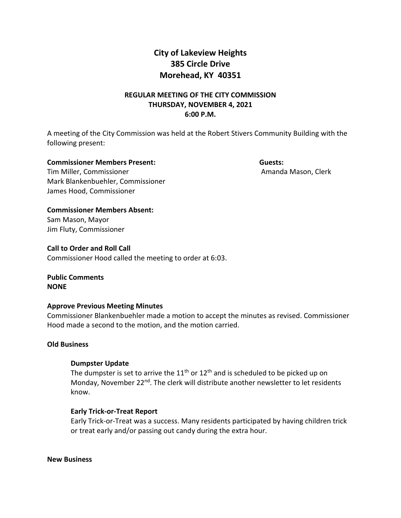# **City of Lakeview Heights 385 Circle Drive Morehead, KY 40351**

# **REGULAR MEETING OF THE CITY COMMISSION THURSDAY, NOVEMBER 4, 2021 6:00 P.M.**

A meeting of the City Commission was held at the Robert Stivers Community Building with the following present:

**Commissioner Members Present: Guests:**  Tim Miller, Commissioner **Amanda Mason, Clerk** Amanda Mason, Clerk Mark Blankenbuehler, Commissioner James Hood, Commissioner

**Commissioner Members Absent:**  Sam Mason, Mayor Jim Fluty, Commissioner

**Call to Order and Roll Call** Commissioner Hood called the meeting to order at 6:03.

**Public Comments NONE**

# **Approve Previous Meeting Minutes**

Commissioner Blankenbuehler made a motion to accept the minutes as revised. Commissioner Hood made a second to the motion, and the motion carried.

# **Old Business**

# **Dumpster Update**

The dumpster is set to arrive the  $11<sup>th</sup>$  or  $12<sup>th</sup>$  and is scheduled to be picked up on Monday, November 22<sup>nd</sup>. The clerk will distribute another newsletter to let residents know.

# **Early Trick-or-Treat Report**

Early Trick-or-Treat was a success. Many residents participated by having children trick or treat early and/or passing out candy during the extra hour.

**New Business**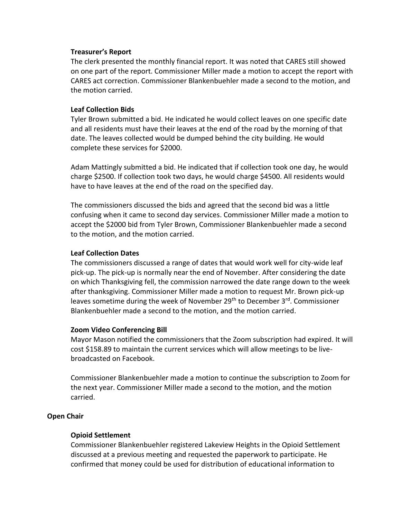### **Treasurer's Report**

The clerk presented the monthly financial report. It was noted that CARES still showed on one part of the report. Commissioner Miller made a motion to accept the report with CARES act correction. Commissioner Blankenbuehler made a second to the motion, and the motion carried.

### **Leaf Collection Bids**

Tyler Brown submitted a bid. He indicated he would collect leaves on one specific date and all residents must have their leaves at the end of the road by the morning of that date. The leaves collected would be dumped behind the city building. He would complete these services for \$2000.

Adam Mattingly submitted a bid. He indicated that if collection took one day, he would charge \$2500. If collection took two days, he would charge \$4500. All residents would have to have leaves at the end of the road on the specified day.

The commissioners discussed the bids and agreed that the second bid was a little confusing when it came to second day services. Commissioner Miller made a motion to accept the \$2000 bid from Tyler Brown, Commissioner Blankenbuehler made a second to the motion, and the motion carried.

#### **Leaf Collection Dates**

The commissioners discussed a range of dates that would work well for city-wide leaf pick-up. The pick-up is normally near the end of November. After considering the date on which Thanksgiving fell, the commission narrowed the date range down to the week after thanksgiving. Commissioner Miller made a motion to request Mr. Brown pick-up leaves sometime during the week of November 29<sup>th</sup> to December 3<sup>rd</sup>. Commissioner Blankenbuehler made a second to the motion, and the motion carried.

# **Zoom Video Conferencing Bill**

Mayor Mason notified the commissioners that the Zoom subscription had expired. It will cost \$158.89 to maintain the current services which will allow meetings to be livebroadcasted on Facebook.

Commissioner Blankenbuehler made a motion to continue the subscription to Zoom for the next year. Commissioner Miller made a second to the motion, and the motion carried.

# **Open Chair**

#### **Opioid Settlement**

Commissioner Blankenbuehler registered Lakeview Heights in the Opioid Settlement discussed at a previous meeting and requested the paperwork to participate. He confirmed that money could be used for distribution of educational information to